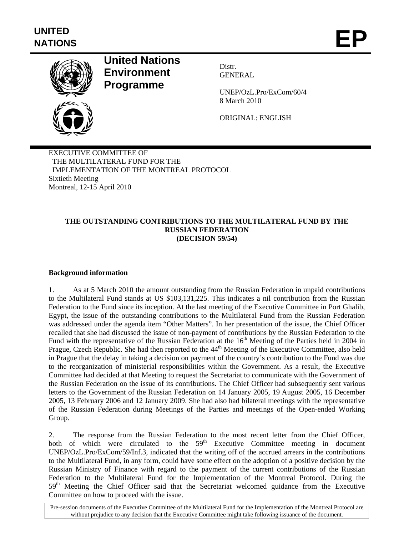

# **United Nations Environment Programme**

Distr. **GENERAL** 

UNEP/OzL.Pro/ExCom/60/4 8 March 2010

ORIGINAL: ENGLISH

EXECUTIVE COMMITTEE OF THE MULTILATERAL FUND FOR THE IMPLEMENTATION OF THE MONTREAL PROTOCOL Sixtieth Meeting Montreal, 12-15 April 2010

### **THE OUTSTANDING CONTRIBUTIONS TO THE MULTILATERAL FUND BY THE RUSSIAN FEDERATION (DECISION 59/54)**

## **Background information**

1. As at 5 March 2010 the amount outstanding from the Russian Federation in unpaid contributions to the Multilateral Fund stands at US \$103,131,225. This indicates a nil contribution from the Russian Federation to the Fund since its inception. At the last meeting of the Executive Committee in Port Ghalib, Egypt, the issue of the outstanding contributions to the Multilateral Fund from the Russian Federation was addressed under the agenda item "Other Matters". In her presentation of the issue, the Chief Officer recalled that she had discussed the issue of non-payment of contributions by the Russian Federation to the Fund with the representative of the Russian Federation at the 16<sup>th</sup> Meeting of the Parties held in 2004 in Prague, Czech Republic. She had then reported to the 44<sup>th</sup> Meeting of the Executive Committee, also held in Prague that the delay in taking a decision on payment of the country's contribution to the Fund was due to the reorganization of ministerial responsibilities within the Government. As a result, the Executive Committee had decided at that Meeting to request the Secretariat to communicate with the Government of the Russian Federation on the issue of its contributions. The Chief Officer had subsequently sent various letters to the Government of the Russian Federation on 14 January 2005, 19 August 2005, 16 December 2005, 13 February 2006 and 12 January 2009. She had also had bilateral meetings with the representative of the Russian Federation during Meetings of the Parties and meetings of the Open-ended Working Group.

2. The response from the Russian Federation to the most recent letter from the Chief Officer, both of which were circulated to the  $59<sup>th</sup>$  Executive Committee meeting in document UNEP/OzL.Pro/ExCom/59/Inf.3, indicated that the writing off of the accrued arrears in the contributions to the Multilateral Fund, in any form, could have some effect on the adoption of a positive decision by the Russian Ministry of Finance with regard to the payment of the current contributions of the Russian Federation to the Multilateral Fund for the Implementation of the Montreal Protocol. During the 59<sup>th</sup> Meeting the Chief Officer said that the Secretariat welcomed guidance from the Executive Committee on how to proceed with the issue.

Pre-session documents of the Executive Committee of the Multilateral Fund for the Implementation of the Montreal Protocol are without prejudice to any decision that the Executive Committee might take following issuance of the document.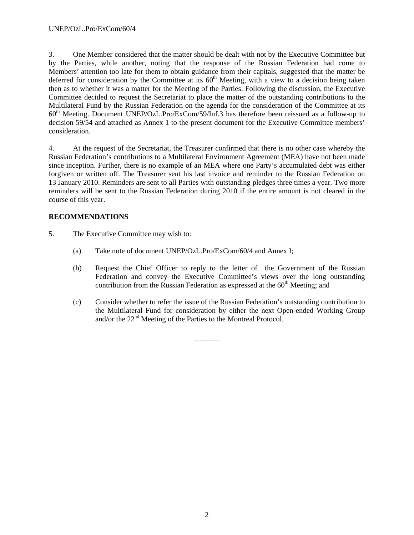3. One Member considered that the matter should be dealt with not by the Executive Committee but by the Parties, while another, noting that the response of the Russian Federation had come to Members' attention too late for them to obtain guidance from their capitals, suggested that the matter be deferred for consideration by the Committee at its  $60<sup>th</sup>$  Meeting, with a view to a decision being taken then as to whether it was a matter for the Meeting of the Parties. Following the discussion, the Executive Committee decided to request the Secretariat to place the matter of the outstanding contributions to the Multilateral Fund by the Russian Federation on the agenda for the consideration of the Committee at its  $60<sup>th</sup>$  Meeting. Document UNEP/OzL.Pro/ExCom/59/Inf.3 has therefore been reissued as a follow-up to decision 59/54 and attached as Annex 1 to the present document for the Executive Committee members' consideration.

4. At the request of the Secretariat, the Treasurer confirmed that there is no other case whereby the Russian Federation's contributions to a Multilateral Environment Agreement (MEA) have not been made since inception. Further, there is no example of an MEA where one Party's accumulated debt was either forgiven or written off. The Treasurer sent his last invoice and reminder to the Russian Federation on 13 January 2010. Reminders are sent to all Parties with outstanding pledges three times a year. Two more reminders will be sent to the Russian Federation during 2010 if the entire amount is not cleared in the course of this year.

## **RECOMMENDATIONS**

- 5. The Executive Committee may wish to:
	- (a) Take note of document UNEP/OzL.Pro/ExCom/60/4 and Annex I;
	- (b) Request the Chief Officer to reply to the letter of the Government of the Russian Federation and convey the Executive Committee's views over the long outstanding contribution from the Russian Federation as expressed at the  $60<sup>th</sup>$  Meeting; and
	- (c) Consider whether to refer the issue of the Russian Federation's outstanding contribution to the Multilateral Fund for consideration by either the next Open-ended Working Group and/or the 22nd Meeting of the Parties to the Montreal Protocol.

----------

2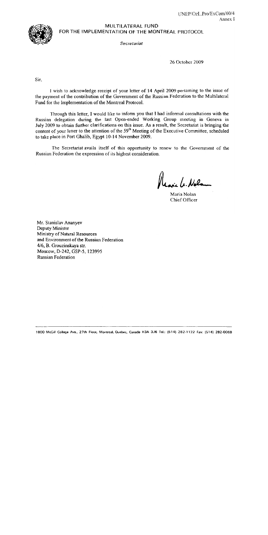

### MULTILATERAL FUND FOR THE IMPLEMENTATION OF THE MONTREAL PROTOCOL

Secretariat

26 October 2009

Sir.

I wish to acknowledge receipt of your letter of 14 April 2009 pertaining to the issue of the payment of the contribution of the Government of the Russian Federation to the Multilateral Fund for the Implementation of the Montreal Protocol.

Through this letter, I would like to inform you that I had informal consultations with the Russian delegation during the last Open-ended Working Group meeting in Geneva in July 2009 to obtain further clarifications on this issue. As a result, the Secretariat is bringing the content of your letter to the attention of the 59<sup>th</sup> Meeting of the Executive Committee, scheduled to take place in Port Ghalib, Egypt 10-14 November 2009.

The Secretariat avails itself of this opportunity to renew to the Government of the Russian Federation the expression of its highest consideration.

Maria Nolan Chief Officer

Mr. Stanislav Ananyev Deputy Minister Ministry of Natural Resources and Environment of the Russian Federation 4/6, B. Grouzinskaya str. Moscow, D-242, GSP-5, 123995 **Russian Federation**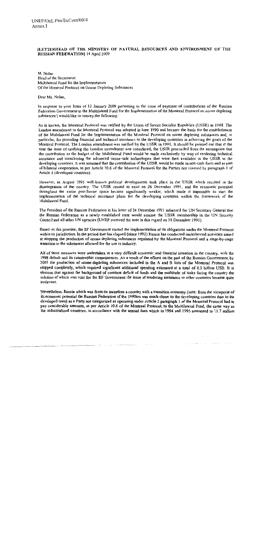UNEP/OzL.Pro/ExCom/60/4 Annex I

#### ILETTERHEAD OF THE MINISTRY OF NATURAL RESOURCES AND ENVIRONMENT OF THE RUSSIAN FEDERATION] 14 April 2009

M Nolan Head of the Secretariat Multilateral Fund for the Implementation Of the Montreal Protocol on Ozone Depleting Substances

Dear Ms. Nolan,

In response to your letter of 12 January 2009 pertaining to the issue of payment of contributions of the Russian Federation Government to the Multilateral Fund for the Implementation of the Montreal Protocol on ozone depleting substances I would like to convey the following.

As is known, the Montreal Protocol was ratified by the Union of Soviet Socialist Republics (USSR) in 1988. The London amendment to the Montreal Protocol was adopted in June 1990 and became the basis for the establishment of the Multilateral Fund for the Implementation of the Montreal Protocol on ozone depleting substances and, in particular, for providing financial and technical assistance to the developing countries in achieving the goals of the Montreal Protocol. The London amendment was ratified by the USSR in 1991. It should be pointed out that at the time the issue of ratifying the London amendment was considered, the USSR proceeded from the assumption that the contribution to the budget of the Multilateral Fund would be made exclusively by way of rendering technical assistance and transferring the advanced ozone-safe technologies that were then available in the USSR to the developing countries. It was assumed that the contribution of the USSR would be made in non-cash form and as part of bilateral cooperation, as per Article 10.6 of the Montreal Protocol for the Parties not covered by paragraph 1 of Article 1 (developed countries).

However, in August 1991 well-known political developments took place in the USSR which resulted in the disintegration of the country. The USSR ceased to exist on 26 December 1991, and the economic potential throughout the entire post-Soviet space became significantly weaker, which made it impossible to start the implementation of the technical assistance plans for the developing countries within the framework of the Multilateral Fund.

The President of the Russian Federation in his letter of 24 December 1991 informed the UN Secretary General that the Russian Federation as a newly established state would assume the USSR membership in the UN Security Council and all other UN agencies (UNEP received the note in this regard on 31 December 1991).

Based on this premise, the RF Government started the implementation of its obligations under the Montreal Protocol within its jurisdiction. In the period that has elapsed (since 1992) Russia has conducted multifaceted activities aimed at stopping the production of ozone-depleting substances regulated by the Montreal Protocol and a stage-by-stage transition to the substances allowed for the use in industry.

All of these measures were undertaken in a very difficult economic and financial situation in the country, with the 1998 default and its catastrophic consequences. As a result of the efforts on the part of the Russian Government, by 2001 the production of ozone-depleting substances included in the A and B lists of the Montreal Protocol was stopped completely, which required significant additional spending estimated at a total of 0.3 billion USD. It is obvious that against the background of constant deficit of funds and the multitude of tasks facing the country the solution of which was vital for the RF Government the issue of rendering assistance to other countries became quite irrelevant.

Nevertheless, Russia which was from its inception a country with a transition economy (note: from the viewpoint of its economic potential the Russian Federation of the 1990ies was much closer to the developing countries than to the developed ones) as a Party not categorized as operating under Article 5 paragraph 1 of the Montreal Protocol had to pay considerable amounts, as per Article 10.6 of the Montreal Protocol, to the Multilateral Fund, the same way as the industrialized countries, in accordance with the annual dues which in 1994 and 1995 amounted to 11.7 million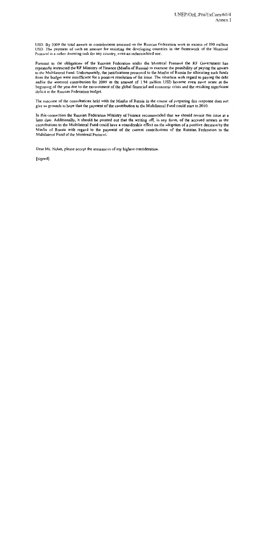USD. By 2009 the total arrears in contributions assessed on the Russian Federation were in excess of 100 million USD. The payment of such an amount for assisting the developing countries in the framework of the Montreal Protocol is a rather daunting task for any country, even an industrialized one.

Pursuant to the obligations of the Russian Federation under the Montreal Protocol the RF Government has repeatedly instructed the RF Ministry of Finance (Minfin of Russia) to examine the possibility of paying the arrears to the Multilateral Fund. Unfortunately, the justifications presented to the Minfin of Russia for allocating such funds from the budget were insufficient for a positive resolution of the issue. The situation with regard to paying the debt and/or the assessed contribution for 2009 in the amount of 1.94 million USD became even more acute at the beginning of the year due to the environment of the global financial and economic crisis and the resulting significant deficit in the Russian Federation budget.

The outcome of the consultations held with the Minfin of Russia in the course of preparing this response does not give us grounds to hope that the payment of the contribution to the Multilateral Fund could start in 2010.

In this connection the Russian Federation Ministry of Finance recommended that we should revisit this issue at a later date. Additionally, it should be pointed out that the writing off, in any form, of the accrued arrears in the contributions to the Multilateral Fund could have a considerable effect on the adoption of a positive decision by the Minfin of Russia with regard to the payment of the current contributions of the Russian Federation to the Multilateral Fund of the Montreal Protocol.

Dear Ms. Nolan, please accept the assurances of my highest consideration.

[signed]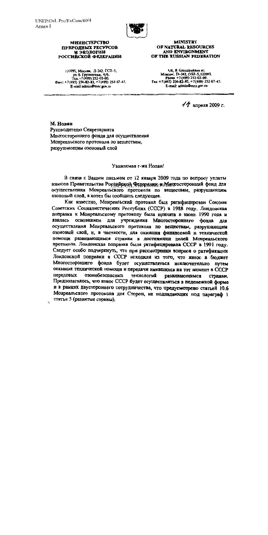

#### **МИНИСТЕРСТВО** ПРИРОДНЫХ РЕСУРСОВ и экологии РОССИЙСКОЙ ФЕДЕРАЦИИ

123995, Москва, Д-242, ГСП-5, ул. Б. Грузинская, 4/6. Ten. +7 (499) 252-03-00. Oakc: +7(495) 254-82-83, +7(499) 252-67-47. E-mail:admin@mnr.gov.ru

#### **MINISTRY** OF NATURAL RESOURCES AND ENVIRONMENT OF THE RUSSIAN FEDERATION

4/6, B. Grouzinskaya str. Moscow, D-242, GSP-5, 123995.<br>Moscow, D-242, GSP-5, 123995.<br>Phone +7 (499) 252-03-00.<br>Fax: +7 (495) 254-82-83, +7 (499) 252-67-47. E-mail: admin@mnr.gov.ru

 $44$  апреля 2009 г.

М. Нолан Руководителю Секретариата Многостороннего фонда для осуществления Монреальского протокола по веществам, разрушающим озоновый слой

#### Уважаемая г-жа Нолан!

В связи с Вашим письмом от 12 января 2009 года по вопросу уплаты взносов Правительства Российской Федерации во Многосторонний фонд для осуществления Монреальского протокола по веществам, разрушающим озоновый слой, я хотел бы сообщить следующее.

Как известно, Монреальский протокол был ратифицирован Союзом Советских Социалистических Республик (СССР) в 1988 году. Лондонская поправка к Монреальскому протоколу была принята в июне 1990 года и явилась основанием для учреждения Многостороннего фонда для осуществления Монреальского протокола по веществам, разрушающим озоновый слой, и, в частности, для оказания финансовой и технической помощи развивающимся странам в достижении целей Монреальского протокола. Лондонская поправка была ратифицирована СССР в 1991 году. Следует особо подчеркнуть, что при рассмотрении вопроса о ратификации Лондонской поправки в СССР исходили из того, что взнос в бюджет Многостороннего фонда будет осуществляться исключительно путем оказания технической помощи и передачи имевшихся на тот момент в СССР передовых озонобезопасных технологий развивающимся странам. Предполагалось, что взнос СССР будет осуществляться в неденежной форме и в рамках двустороннего сотрудничества, что предусмотрено статьей 10.6 Монреальского протокола для Сторон, не подпадающих под параграф 1 статьи 5 (развитые страны).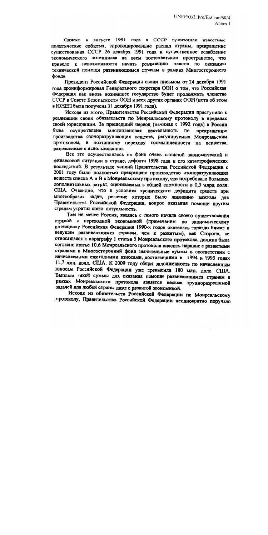Однако в августе 1991 года в СССР произошли известные политические события, спровоцировавшие распад страны, прекращение существования СССР 26 декабря 1991 года и существенное ослабление экономического потенциала на всем постсоветском пространстве, что привело к невозможности начать реализацию планов по оказанию технической помощи развивающимся странам в рамках Многостороннего фонда.

Президент Российской Федерации своим письмом от 24 декабря 1991 года проинформировал Генерального секретаря ООН о том, что Российская Федерация как вновь возникшее государство будет продолжать членство СССР в Совете Безопасности ООН и всех других органах ООН (нота об этом в ЮНЕП была получена 31 декабря 1991 года).

Исходя из этого, Правительство Российской Федерации приступило к реализации своих обязательств по Монреальскому протоколу в пределах своей юрисдикции. За прошедший период (начиная с 1992 года) в России была осуществлена многоплановая леятельность **no** прекращению производства озоноразрушающих веществ, регулируемых Монреальским протоколом, и поэтапному переходу промышленности на вещества. разрешенные к использованию.

Все это осуществлялось на фоне очень сложной экономической и финансовой ситуации в стране, дефолта 1998 года и его катастрофических последствий. В результате усилий Правительства Российской Федерации к 2001 году было полностью прекращено производство озоноразрушающих веществ списка А и В к Монреальскому протоколу, что потребовало больших дополнительных затрат, оцениваемых в общей сложности в 0,3 млрд долл. США. Очевидно, что в условиях хронического дефицита средств при многообразии задач, решение которых было жизненно важным для Правительства Российской Федерации, вопрос оказания помощи другим странам утратил свою актуальность.

Тем не менее Россия, являясь с самого начала своего существования страной с переходной экономикой (примечание: по экономическому потенциалу Российская Федерация 1990-х годов оказалась гораздо ближе к ведущим развивающимся странам, чем к развитым), как Сторона, не относящаяся к параграфу 1 статьи 5 Монреальского протокола, должна была согласно статье 10.6 Монреальского протокола вносить наравне с развитыми странами в Многосторонний фонд значительные суммы в соответствии с начисляемыми ежегодными взносами, достигавшими в 1994 и 1995 годах 11,7 млн. долл. США. К 2009 году общая задолженность по начисленным взносам Российской Федерации уже превысила 100 млн. долл. США. Выплата такой суммы для оказания помощи развивающимся странам в рамках Монреальского протокола является весьма трудноразрешимой задачей для любой страны даже с развитой экономикой.

Исходя из обязательств Российской Федерации по Монреальскому протоколу, Правительство Российской Федерации неоднократно поручало